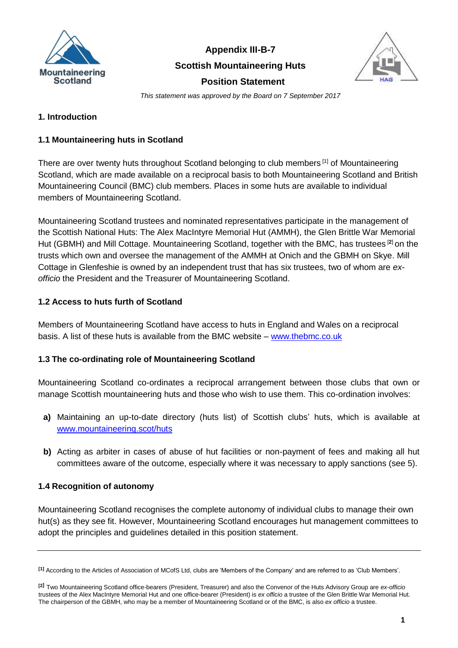

**Appendix III-B-7** 

### **Scottish Mountaineering Huts**



 **Position Statement**

*This statement was approved by the Board on 7 September 2017*

## **1. Introduction**

## **1.1 Mountaineering huts in Scotland**

There are over twenty huts throughout Scotland belonging to club members <sup>[1]</sup> of Mountaineering Scotland, which are made available on a reciprocal basis to both Mountaineering Scotland and British Mountaineering Council (BMC) club members. Places in some huts are available to individual members of Mountaineering Scotland.

Mountaineering Scotland trustees and nominated representatives participate in the management of the Scottish National Huts: The Alex MacIntyre Memorial Hut (AMMH), the Glen Brittle War Memorial Hut (GBMH) and Mill Cottage. Mountaineering Scotland, together with the BMC, has trustees [**2**] on the trusts which own and oversee the management of the AMMH at Onich and the GBMH on Skye. Mill Cottage in Glenfeshie is owned by an independent trust that has six trustees, two of whom are *exofficio* the President and the Treasurer of Mountaineering Scotland.

## **1.2 Access to huts furth of Scotland**

Members of Mountaineering Scotland have access to huts in England and Wales on a reciprocal basis. A list of these huts is available from the BMC website – [www.thebmc.co.uk](http://www.thebmc.co.uk/)

# **1.3 The co-ordinating role of Mountaineering Scotland**

Mountaineering Scotland co-ordinates a reciprocal arrangement between those clubs that own or manage Scottish mountaineering huts and those who wish to use them. This co-ordination involves:

- **a)** Maintaining an up-to-date directory (huts list) of Scottish clubs' huts, which is available at [www.mountaineering.scot/huts](http://www.mountaineering.scot/huts)
- **b)** Acting as arbiter in cases of abuse of hut facilities or non-payment of fees and making all hut committees aware of the outcome, especially where it was necessary to apply sanctions (see 5).

# **1.4 Recognition of autonomy**

Mountaineering Scotland recognises the complete autonomy of individual clubs to manage their own hut(s) as they see fit. However, Mountaineering Scotland encourages hut management committees to adopt the principles and guidelines detailed in this position statement.

**<sup>[1]</sup>** According to the Articles of Association of MCofS Ltd, clubs are 'Members of the Company' and are referred to as 'Club Members'.

**<sup>[2</sup>]** Two Mountaineering Scotland office-bearers (President, Treasurer) and also the Convenor of the Huts Advisory Group are *ex-officio* trustees of the Alex MacIntyre Memorial Hut and one office-bearer (President) is *ex officio* a trustee of the Glen Brittle War Memorial Hut. The chairperson of the GBMH, who may be a member of Mountaineering Scotland or of the BMC, is also *ex officio* a trustee.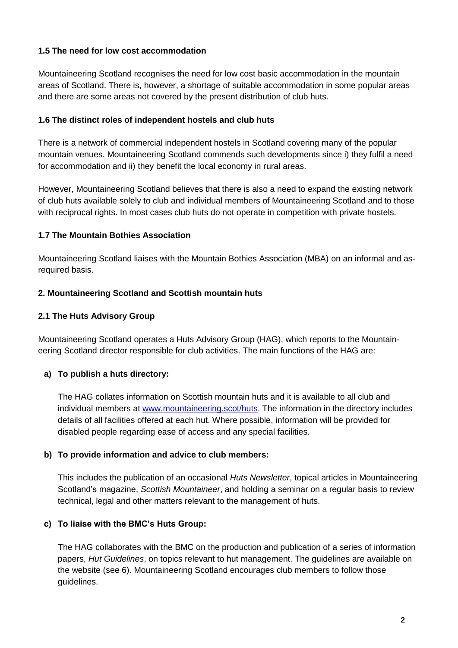### **1.5 The need for low cost accommodation**

Mountaineering Scotland recognises the need for low cost basic accommodation in the mountain areas of Scotland. There is, however, a shortage of suitable accommodation in some popular areas and there are some areas not covered by the present distribution of club huts.

### **1.6 The distinct roles of independent hostels and club huts**

There is a network of commercial independent hostels in Scotland covering many of the popular mountain venues. Mountaineering Scotland commends such developments since i) they fulfil a need for accommodation and ii) they benefit the local economy in rural areas.

However, Mountaineering Scotland believes that there is also a need to expand the existing network of club huts available solely to club and individual members of Mountaineering Scotland and to those with reciprocal rights. In most cases club huts do not operate in competition with private hostels.

## **1.7 The Mountain Bothies Association**

Mountaineering Scotland liaises with the Mountain Bothies Association (MBA) on an informal and asrequired basis.

## **2. Mountaineering Scotland and Scottish mountain huts**

## **2.1 The Huts Advisory Group**

Mountaineering Scotland operates a Huts Advisory Group (HAG), which reports to the Mountaineering Scotland director responsible for club activities. The main functions of the HAG are:

# **a) To publish a huts directory:**

The HAG collates information on Scottish mountain huts and it is available to all club and individual members at [www.mountaineering.scot/huts.](http://www.mountaineering.scot/huts) The information in the directory includes details of all facilities offered at each hut. Where possible, information will be provided for disabled people regarding ease of access and any special facilities.

### **b) To provide information and advice to club members:**

This includes the publication of an occasional *Huts Newsletter*, topical articles in Mountaineering Scotland's magazine, *Scottish Mountaineer*, and holding a seminar on a regular basis to review technical, legal and other matters relevant to the management of huts.

### **c) To liaise with the BMC's Huts Group:**

The HAG collaborates with the BMC on the production and publication of a series of information papers, *Hut Guidelines*, on topics relevant to hut management. The guidelines are available on the website (see 6). Mountaineering Scotland encourages club members to follow those guidelines.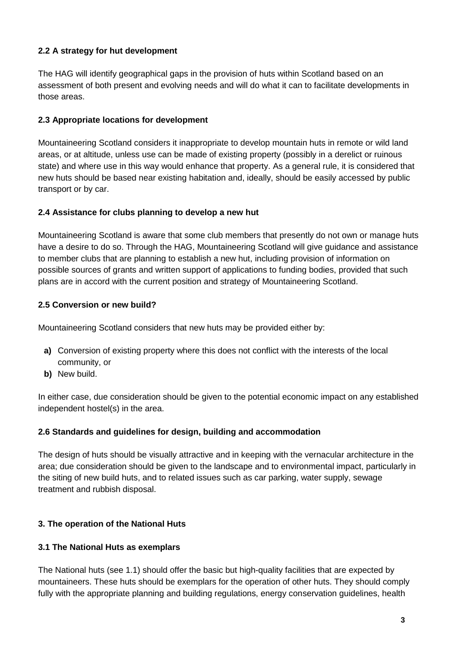# **2.2 A strategy for hut development**

The HAG will identify geographical gaps in the provision of huts within Scotland based on an assessment of both present and evolving needs and will do what it can to facilitate developments in those areas.

### **2.3 Appropriate locations for development**

Mountaineering Scotland considers it inappropriate to develop mountain huts in remote or wild land areas, or at altitude, unless use can be made of existing property (possibly in a derelict or ruinous state) and where use in this way would enhance that property. As a general rule, it is considered that new huts should be based near existing habitation and, ideally, should be easily accessed by public transport or by car.

### **2.4 Assistance for clubs planning to develop a new hut**

Mountaineering Scotland is aware that some club members that presently do not own or manage huts have a desire to do so. Through the HAG, Mountaineering Scotland will give guidance and assistance to member clubs that are planning to establish a new hut, including provision of information on possible sources of grants and written support of applications to funding bodies, provided that such plans are in accord with the current position and strategy of Mountaineering Scotland.

### **2.5 Conversion or new build?**

Mountaineering Scotland considers that new huts may be provided either by:

- **a)** Conversion of existing property where this does not conflict with the interests of the local community, or
- **b)** New build.

In either case, due consideration should be given to the potential economic impact on any established independent hostel(s) in the area.

### **2.6 Standards and guidelines for design, building and accommodation**

The design of huts should be visually attractive and in keeping with the vernacular architecture in the area; due consideration should be given to the landscape and to environmental impact, particularly in the siting of new build huts, and to related issues such as car parking, water supply, sewage treatment and rubbish disposal.

### **3. The operation of the National Huts**

### **3.1 The National Huts as exemplars**

The National huts (see 1.1) should offer the basic but high-quality facilities that are expected by mountaineers. These huts should be exemplars for the operation of other huts. They should comply fully with the appropriate planning and building regulations, energy conservation guidelines, health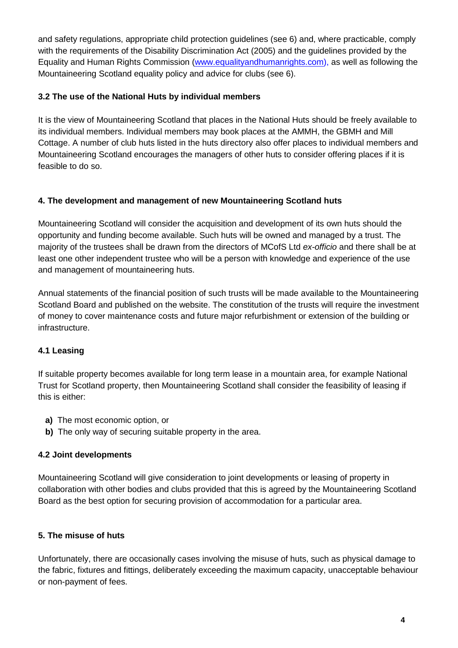and safety regulations, appropriate child protection guidelines (see 6) and, where practicable, comply with the requirements of the Disability Discrimination Act (2005) and the guidelines provided by the Equality and Human Rights Commission [\(www.equalityandhumanrights.com\)](http://www.equalityandhumanrights.com/), as well as following the Mountaineering Scotland equality policy and advice for clubs (see 6).

## **3.2 The use of the National Huts by individual members**

It is the view of Mountaineering Scotland that places in the National Huts should be freely available to its individual members. Individual members may book places at the AMMH, the GBMH and Mill Cottage. A number of club huts listed in the huts directory also offer places to individual members and Mountaineering Scotland encourages the managers of other huts to consider offering places if it is feasible to do so.

## **4. The development and management of new Mountaineering Scotland huts**

Mountaineering Scotland will consider the acquisition and development of its own huts should the opportunity and funding become available. Such huts will be owned and managed by a trust. The majority of the trustees shall be drawn from the directors of MCofS Ltd *ex-officio* and there shall be at least one other independent trustee who will be a person with knowledge and experience of the use and management of mountaineering huts.

Annual statements of the financial position of such trusts will be made available to the Mountaineering Scotland Board and published on the website. The constitution of the trusts will require the investment of money to cover maintenance costs and future major refurbishment or extension of the building or infrastructure.

# **4.1 Leasing**

If suitable property becomes available for long term lease in a mountain area, for example National Trust for Scotland property, then Mountaineering Scotland shall consider the feasibility of leasing if this is either:

- **a)** The most economic option, or
- **b)** The only way of securing suitable property in the area.

### **4.2 Joint developments**

Mountaineering Scotland will give consideration to joint developments or leasing of property in collaboration with other bodies and clubs provided that this is agreed by the Mountaineering Scotland Board as the best option for securing provision of accommodation for a particular area.

### **5. The misuse of huts**

Unfortunately, there are occasionally cases involving the misuse of huts, such as physical damage to the fabric, fixtures and fittings, deliberately exceeding the maximum capacity, unacceptable behaviour or non-payment of fees.